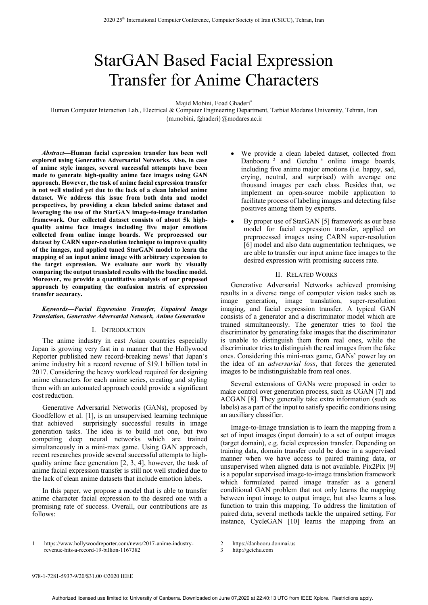# StarGAN Based Facial Expression Transfer for Anime Characters

Majid Mobini, Foad Ghaderi\*

Human Computer Interaction Lab., Electrical & Computer Engineering Department, Tarbiat Modares University, Tehran, Iran {m.mobini, fghaderi}@modares.ac.ir

*Abstract***—Human facial expression transfer has been well explored using Generative Adversarial Networks. Also, in case of anime style images, several successful attempts have been made to generate high-quality anime face images using GAN approach. However, the task of anime facial expression transfer is not well studied yet due to the lack of a clean labeled anime dataset. We address this issue from both data and model perspectives, by providing a clean labeled anime dataset and leveraging the use of the StarGAN image-to-image translation framework. Our collected dataset consists of about 5k highquality anime face images including five major emotions collected from online image boards. We preprocessed our dataset by CARN super-resolution technique to improve quality of the images, and applied tuned StarGAN model to learn the mapping of an input anime image with arbitrary expression to the target expression. We evaluate our work by visually comparing the output translated results with the baseline model. Moreover, we provide a quantitative analysis of our proposed approach by computing the confusion matrix of expression transfer accuracy.** 

#### *Keywords—Facial Expression Transfer, Unpaired Image Translation, Generative Adversarial Network, Anime Generation*

## I. INTRODUCTION

The anime industry in east Asian countries especially Japan is growing very fast in a manner that the Hollywood Reporter published new record-breaking news<sup>1</sup> that Japan's anime industry hit a record revenue of \$19.1 billion total in 2017. Considering the heavy workload required for designing anime characters for each anime series, creating and styling them with an automated approach could provide a significant cost reduction.

Generative Adversarial Networks (GANs), proposed by Goodfellow et al. [1], is an unsupervised learning technique that achieved surprisingly successful results in image generation tasks. The idea is to build not one, but two competing deep neural networks which are trained simultaneously in a mini-max game. Using GAN approach, recent researches provide several successful attempts to highquality anime face generation [2, 3, 4], however, the task of anime facial expression transfer is still not well studied due to the lack of clean anime datasets that include emotion labels.

In this paper, we propose a model that is able to transfer anime character facial expression to the desired one with a promising rate of success. Overall, our contributions are as follows:

- We provide a clean labeled dataset, collected from Danbooru<sup>2</sup> and Getchu<sup>3</sup> online image boards, including five anime major emotions (i.e. happy, sad, crying, neutral, and surprised) with average one thousand images per each class. Besides that, we implement an open-source mobile application to facilitate process of labeling images and detecting false positives among them by experts.
- By proper use of StarGAN [5] framework as our base model for facial expression transfer, applied on preprocessed images using CARN super-resolution [6] model and also data augmentation techniques, we are able to transfer our input anime face images to the desired expression with promising success rate.

## II. RELATED WORKS

Generative Adversarial Networks achieved promising results in a diverse range of computer vision tasks such as image generation, image translation, super-resolution imaging, and facial expression transfer. A typical GAN consists of a generator and a discriminator model which are trained simultaneously. The generator tries to fool the discriminator by generating fake images that the discriminator is unable to distinguish them from real ones, while the discriminator tries to distinguish the real images from the fake ones. Considering this mini-max game, GANs' power lay on the idea of an *adversarial loss*, that forces the generated images to be indistinguishable from real ones.

Several extensions of GANs were proposed in order to make control over generation process, such as CGAN [7] and ACGAN [8]. They generally take extra information (such as labels) as a part of the input to satisfy specific conditions using an auxiliary classifier.

Image-to-Image translation is to learn the mapping from a set of input images (input domain) to a set of output images (target domain), e.g. facial expression transfer. Depending on training data, domain transfer could be done in a supervised manner when we have access to paired training data, or unsupervised when aligned data is not available. Pix2Pix [9] is a popular supervised image-to-image translation framework which formulated paired image transfer as a general conditional GAN problem that not only learns the mapping between input image to output image, but also learns a loss function to train this mapping. To address the limitation of paired data, several methods tackle the unpaired setting. For instance, CycleGAN [10] learns the mapping from an

3 http://getchu.com

https://www.hollywoodreporter.com/news/2017-anime-industryrevenue-hits-a-record-19-billion-1167382

<sup>2</sup> https://danbooru.donmai.us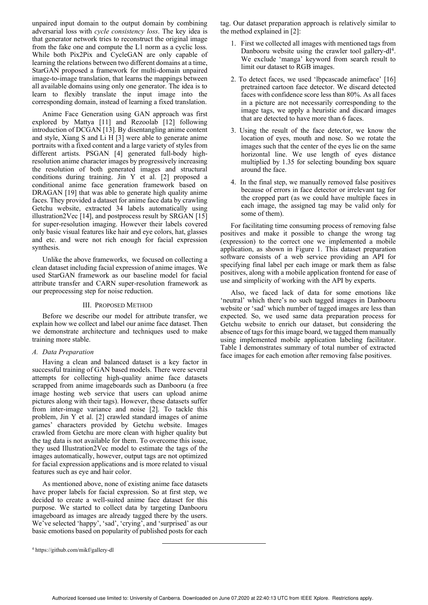unpaired input domain to the output domain by combining adversarial loss with *cycle consistency loss*. The key idea is that generator network tries to reconstruct the original image from the fake one and compute the L1 norm as a cyclic loss. While both Pix2Pix and CycleGAN are only capable of learning the relations between two different domains at a time, StarGAN proposed a framework for multi-domain unpaired image-to-image translation, that learns the mappings between all available domains using only one generator. The idea is to learn to flexibly translate the input image into the corresponding domain, instead of learning a fixed translation.

 Anime Face Generation using GAN approach was first explored by Mattya [11] and Rezoolab [12] following introduction of DCGAN [13]. By disentangling anime content and style, Xiang S and Li H [3] were able to generate anime portraits with a fixed content and a large variety of styles from different artists. PSGAN [4] generated full-body highresolution anime character images by progressively increasing the resolution of both generated images and structural conditions during training. Jin Y et al. [2] proposed a conditional anime face generation framework based on DRAGAN [19] that was able to generate high quality anime faces. They provided a dataset for anime face data by crawling Getchu website, extracted 34 labels automatically using illustration2Vec [14], and postprocess result by SRGAN [15] for super-resolution imaging. However their labels covered only basic visual features like hair and eye colors, hat, glasses and etc. and were not rich enough for facial expression synthesis.

 Unlike the above frameworks, we focused on collecting a clean dataset including facial expression of anime images. We used StarGAN framework as our baseline model for facial attribute transfer and CARN super-resolution framework as our preprocessing step for noise reduction.

#### III. PROPOSED METHOD

Before we describe our model for attribute transfer, we explain how we collect and label our anime face dataset. Then we demonstrate architecture and techniques used to make training more stable.

#### *A. Data Preparation*

Having a clean and balanced dataset is a key factor in successful training of GAN based models. There were several attempts for collecting high-quality anime face datasets scrapped from anime imageboards such as Danbooru (a free image hosting web service that users can upload anime pictures along with their tags). However, these datasets suffer from inter-image variance and noise [2]. To tackle this problem, Jin Y et al. [2] crawled standard images of anime games' characters provided by Getchu website. Images crawled from Getchu are more clean with higher quality but the tag data is not available for them. To overcome this issue, they used Illustration2Vec model to estimate the tags of the images automatically, however, output tags are not optimized for facial expression applications and is more related to visual features such as eye and hair color.

 As mentioned above, none of existing anime face datasets have proper labels for facial expression. So at first step, we decided to create a well-suited anime face dataset for this purpose. We started to collect data by targeting Danbooru imageboard as images are already tagged there by the users. We've selected 'happy', 'sad', 'crying', and 'surprised' as our basic emotions based on popularity of published posts for each

tag. Our dataset preparation approach is relatively similar to the method explained in [2]:

- 1. First we collected all images with mentioned tags from Danbooru website using the crawler tool gallery-dl<sup>4</sup>. We exclude 'manga' keyword from search result to limit our dataset to RGB images.
- 2. To detect faces, we used 'lbpcascade animeface' [16] pretrained cartoon face detector. We discard detected faces with confidence score less than 80%. As all faces in a picture are not necessarily corresponding to the image tags, we apply a heuristic and discard images that are detected to have more than 6 faces.
- 3. Using the result of the face detector, we know the location of eyes, mouth and nose. So we rotate the images such that the center of the eyes lie on the same horizontal line. We use length of eyes distance multiplied by 1.35 for selecting bounding box square around the face.
- 4. In the final step, we manually removed false positives because of errors in face detector or irrelevant tag for the cropped part (as we could have multiple faces in each image, the assigned tag may be valid only for some of them).

 For facilitating time consuming process of removing false positives and make it possible to change the wrong tag (expression) to the correct one we implemented a mobile application, as shown in Figure 1. This dataset preparation software consists of a web service providing an API for specifying final label per each image or mark them as false positives, along with a mobile application frontend for ease of use and simplicity of working with the API by experts.

 Also, we faced lack of data for some emotions like 'neutral' which there's no such tagged images in Danbooru website or 'sad' which number of tagged images are less than expected. So, we used same data preparation process for Getchu website to enrich our dataset, but considering the absence of tags for this image board, we tagged them manually using implemented mobile application labeling facilitator. Table I demonstrates summary of total number of extracted face images for each emotion after removing false positives.

<sup>4</sup> https://github.com/mikf/gallery-dl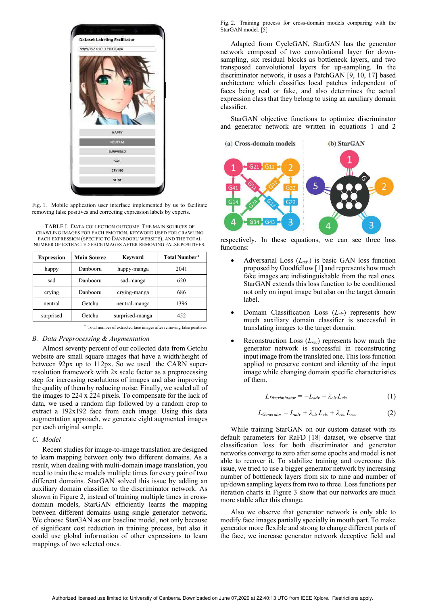

Fig. 1. Mobile application user interface implemented by us to facilitate removing false positives and correcting expression labels by experts.

TABLE I. DATA COLLECTION OUTCOME. THE MAIN SOURCES OF CRAWLING IMAGES FOR EACH EMOTION, KEYWORD USED FOR CRAWLING EACH EXPRESSION (SPECIFIC TO DANBOORU WEBSITE), AND THE TOTAL NUMBER OF EXTRACTED FACE IMAGES AFTER REMOVING FALSE POSITIVES.

| <b>Expression</b> | <b>Main Source</b> | Keyword         | <b>Total Number<sup>a</sup></b> |
|-------------------|--------------------|-----------------|---------------------------------|
| happy             | Danbooru           | happy-manga     | 2041                            |
| sad               | Danbooru           | sad-manga       | 620                             |
| crying            | Danbooru           | crying-manga    | 686                             |
| neutral           | Getchu             | neutral-manga   | 1396                            |
| surprised         | Getchu             | surprised-manga | 452                             |

a. Total number of extracted face images after removing false positives.

## *B. Data Preprocessing & Augmentation*

 Almost seventy percent of our collected data from Getchu website are small square images that have a width/height of between 92px up to 112px. So we used the CARN superresolution framework with 2x scale factor as a preprocessing step for increasing resolutions of images and also improving the quality of them by reducing noise. Finally, we scaled all of the images to 224 x 224 pixels. To compensate for the lack of data, we used a random flip followed by a random crop to extract a 192x192 face from each image. Using this data augmentation approach, we generate eight augmented images per each original sample.

# *C. Model*

 Recent studies for image-to-image translation are designed to learn mapping between only two different domains. As a result, when dealing with multi-domain image translation, you need to train these models multiple times for every pair of two different domains. StarGAN solved this issue by adding an auxiliary domain classifier to the discriminator network. As shown in Figure 2, instead of training multiple times in crossdomain models, StarGAN efficiently learns the mapping between different domains using single generator network. We choose StarGAN as our baseline model, not only because of significant cost reduction in training process, but also it could use global information of other expressions to learn mappings of two selected ones.

Fig. 2. Training process for cross-domain models comparing with the StarGAN model. [5]

 Adapted from CycleGAN, StarGAN has the generator network composed of two convolutional layer for downsampling, six residual blocks as bottleneck layers, and two transposed convolutional layers for up-sampling. In the discriminator network, it uses a PatchGAN [9, 10, 17] based architecture which classifies local patches independent of faces being real or fake, and also determines the actual expression class that they belong to using an auxiliary domain classifier.

 StarGAN objective functions to optimize discriminator and generator network are written in equations 1 and 2



respectively. In these equations, we can see three loss functions:

- Adversarial Loss (*Ladv*) is basic GAN loss function proposed by Goodfellow [1] and represents how much fake images are indistinguishable from the real ones. StarGAN extends this loss function to be conditioned not only on input image but also on the target domain label.
- Domain Classification Loss (*Lcls*) represents how much auxiliary domain classifier is successful in translating images to the target domain.
- Reconstruction Loss (*Lrec*) represents how much the generator network is successful in reconstructing input image from the translated one. This loss function applied to preserve content and identity of the input image while changing domain specific characteristics of them.

$$
L_{Discriminator} = -L_{adv} + \lambda_{cls} L_{cls}
$$
 (1)

$$
L_{Generator} = L_{adv} + \lambda_{cls} L_{cls} + \lambda_{rec} L_{rec}
$$
 (2)

 While training StarGAN on our custom dataset with its default parameters for RaFD [18] dataset, we observe that classification loss for both discriminator and generator networks converge to zero after some epochs and model is not able to recover it. To stabilize training and overcome this issue, we tried to use a bigger generator network by increasing number of bottleneck layers from six to nine and number of up/down sampling layers from two to three. Loss functions per iteration charts in Figure 3 show that our networks are much more stable after this change.

 Also we observe that generator network is only able to modify face images partially specially in mouth part. To make generator more flexible and strong to change different parts of the face, we increase generator network deceptive field and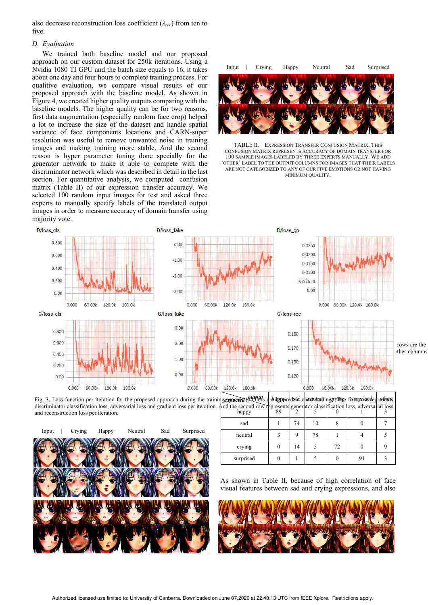also decrease reconstruction loss coefficient (*λrec*) from ten to five.

# *D. Evaluation*

We trained both baseline model and our proposed approach on our custom dataset for 250k iterations. Using a Nvidia 1080 TI GPU and the batch size equals to 16, it takes about one day and four hours to complete training process. For qualitive evaluation, we compare visual results of our proposed approach with the baseline model. As shown in Figure 4, we created higher quality outputs comparing with the baseline models. The higher quality can be for two reasons, first data augmentation (especially random face crop) helped a lot to increase the size of the dataset and handle spatial variance of face components locations and CARN-super resolution was useful to remove unwanted noise in training images and making training more stable. And the second reason is hyper parameter tuning done specially for the generator network to make it able to compete with the discriminator network which was described in detail in the last section. For quantitative analysis, we computed confusion matrix (Table II) of our expression transfer accuracy. We selected 100 random input images for test and asked three experts to manually specify labels of the translated output images in order to measure accuracy of domain transfer using majority vote.



TABLE II. EXPRESSION TRANSFER CONFUSION MATRIX. THIS CONFUSION MATRIX REPRESENTS ACCURACY OF DOMAIN TRANSFER FOR 100 SAMPLE IMAGES LABELED BY THREE EXPERTS MANUALLY. WE ADD 'OTHER' LABEL TO THE OUTPUT COLUMNS FOR IMAGES THAT THEIR LABELS ARE NOT CATEGORIZED TO ANY OF OUR FIVE EMOTIONS OR NOT HAVING MINIMUM QUALITY.



discriminator classification loss, adversarial loss and gradient loss per iteration. And the second row represents generator classification loss, adversarial loss of teration. and reconstruction loss per iteration.



happy  $\begin{array}{|c|c|c|c|c|c|c|c|c|} \hline \end{array}$  89  $\begin{array}{|c|c|c|c|c|c|} \hline 2 & 5 & 0 & 1 & 3 \ \hline \end{array}$ sad 1 74 10 8 0 7 neutral 3 9 78 1 4 5 crying 0 14 5 72 0 9 surprised 0 1 5 0 91 3

As shown in Table II, because of high correlation of face visual features between sad and crying expressions, and also